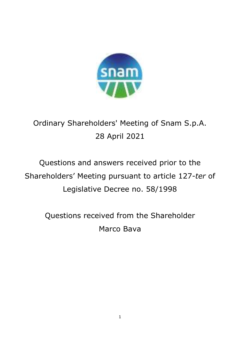

## Ordinary Shareholders' Meeting of Snam S.p.A. 28 April 2021

# Questions and answers received prior to the Shareholders' Meeting pursuant to article 127-*ter* of Legislative Decree no. 58/1998

Questions received from the Shareholder Marco Bava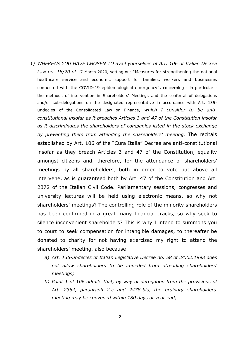- *1) WHEREAS YOU HAVE CHOSEN TO avail yourselves of Art. 106 of Italian Decree Law no. 18/20 of* 17 March 2020, setting out "Measures for strengthening the national healthcare service and economic support for families, workers and businesses connected with the COVID-19 epidemiological emergency", concerning - in particular the methods of intervention in Shareholders' Meetings and the conferral of delegations and/or sub-delegations on the designated representative in accordance with Art. 135 undecies of the Consolidated Law on Finance, *which I consider to be anticonstitutional insofar as it breaches Articles 3 and 47 of the Constitution insofar as it discriminates the shareholders of companies listed in the stock exchange by preventing them from attending the shareholders' meeting.* The recitals established by Art. 106 of the "Cura Italia" Decree are anti-constitutional insofar as they breach Articles 3 and 47 of the Constitution, equality amongst citizens and, therefore, for the attendance of shareholders' meetings by all shareholders, both in order to vote but above all intervene, as is guaranteed both by Art. 47 of the Constitution and Art. 2372 of the Italian Civil Code. Parliamentary sessions, congresses and university lectures will be held using electronic means, so why not shareholders' meetings? The controlling role of the minority shareholders has been confirmed in a great many financial cracks, so why seek to silence inconvenient shareholders? This is why I intend to summons you to court to seek compensation for intangible damages, to thereafter be donated to charity for not having exercised my right to attend the shareholders' meeting, also because:
	- *a) Art. 135-undecies of Italian Legislative Decree no. 58 of 24.02.1998 does not allow shareholders to be impeded from attending shareholders' meetings;*
	- *b) Point 1 of 106 admits that, by way of derogation from the provisions of Art. 2364, paragraph 2.c and 2478-bis, the ordinary shareholders' meeting may be convened within 180 days of year end;*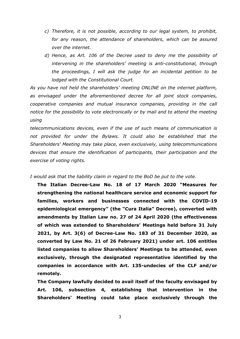- *c) Therefore, it is not possible, according to our legal system, to prohibit, for any reason, the attendance of shareholders, which can be assured over the internet.*
- *d) Hence, as Art. 106 of the Decree used to deny me the possibility of intervening in the shareholders' meeting is anti-constitutional, through the proceedings, I will ask the judge for an incidental petition to be lodged with the Constitutional Court.*

*As you have not held the shareholders' meeting ONLINE on the internet platform, as envisaged under the aforementioned decree for all joint stock companies, cooperative companies and mutual insurance companies, providing in the call notice for the possibility to vote electronically or by mail and to attend the meeting using*

*telecommunications devices, even if the use of such means of communication is not provided for under the Bylaws. It could also be established that the Shareholders' Meeting may take place, even exclusively, using telecommunications devices that ensure the identification of participants, their participation and the exercise of voting rights.*

#### *I would ask that the liability claim in regard to the BoD be put to the vote.*

**The Italian Decree-Law No. 18 of 17 March 2020 "Measures for strengthening the national healthcare service and economic support for families, workers and businesses connected with the COVID-19 epidemiological emergency" (the "Cura Italia" Decree), converted with amendments by Italian Law no. 27 of 24 April 2020 (the effectiveness of which was extended to Shareholders' Meetings held before 31 July 2021, by Art. 3(6) of Decree-Law No. 183 of 31 December 2020, as converted by Law No. 21 of 26 February 2021) under art. 106 entitles listed companies to allow Shareholders' Meetings to be attended, even exclusively, through the designated representative identified by the companies in accordance with Art. 135-undecies of the CLF and/or remotely.** 

**The Company lawfully decided to avail itself of the faculty envisaged by Art. 106, subsection 4, establishing that intervention in the Shareholders' Meeting could take place exclusively through the**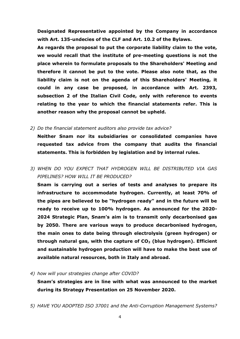**Designated Representative appointed by the Company in accordance with Art. 135-undecies of the CLF and Art. 10.2 of the Bylaws.**

**As regards the proposal to put the corporate liability claim to the vote, we would recall that the institute of pre-meeting questions is not the place wherein to formulate proposals to the Shareholders' Meeting and therefore it cannot be put to the vote. Please also note that, as the liability claim is not on the agenda of this Shareholders' Meeting, it could in any case be proposed, in accordance with Art. 2393, subsection 2 of the Italian Civil Code, only with reference to events relating to the year to which the financial statements refer. This is another reason why the proposal cannot be upheld.**

*2) Do the financial statement auditors also provide tax advice?*

**Neither Snam nor its subsidiaries or consolidated companies have requested tax advice from the company that audits the financial statements. This is forbidden by legislation and by internal rules.**

*3) WHEN DO YOU EXPECT THAT HYDROGEN WILL BE DISTRIBUTED VIA GAS PIPELINES? HOW WILL IT BE PRODUCED?* 

**Snam is carrying out a series of tests and analyses to prepare its infrastructure to accommodate hydrogen. Currently, at least 70% of the pipes are believed to be "hydrogen ready" and in the future will be ready to receive up to 100% hydrogen. As announced for the 2020- 2024 Strategic Plan, Snam's aim is to transmit only decarbonised gas by 2050. There are various ways to produce decarbonised hydrogen, the main ones to date being through electrolysis (green hydrogen) or through natural gas, with the capture of CO<sup>2</sup> (blue hydrogen). Efficient and sustainable hydrogen production will have to make the best use of available natural resources, both in Italy and abroad.**

*4) how will your strategies change after COVID?*

**Snam's strategies are in line with what was announced to the market during its Strategy Presentation on 25 November 2020.**

*5) HAVE YOU ADOPTED ISO 37001 and the Anti-Corruption Management Systems?*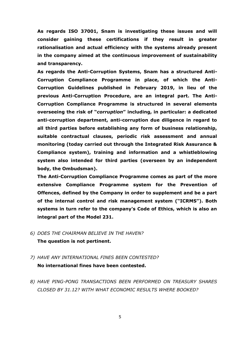**As regards ISO 37001, Snam is investigating these issues and will consider gaining these certifications if they result in greater rationalisation and actual efficiency with the systems already present in the company aimed at the continuous improvement of sustainability and transparency.** 

**As regards the Anti-Corruption Systems, Snam has a structured Anti-Corruption Compliance Programme in place, of which the Anti-Corruption Guidelines published in February 2019, in lieu of the previous Anti-Corruption Procedure, are an integral part. The Anti-Corruption Compliance Programme is structured in several elements overseeing the risk of "***corruption***" including, in particular: a dedicated anti-corruption department, anti-corruption due diligence in regard to all third parties before establishing any form of business relationship, suitable contractual clauses, periodic risk assessment and annual monitoring (today carried out through the Integrated Risk Assurance & Compliance system), training and information and a whistleblowing system also intended for third parties (overseen by an independent body, the Ombudsman).** 

**The Anti-Corruption Compliance Programme comes as part of the more extensive Compliance Programme system for the Prevention of Offences, defined by the Company in order to supplement and be a part of the internal control and risk management system ("ICRMS"). Both systems in turn refer to the company's Code of Ethics, which is also an integral part of the Model 231.** 

- *6) DOES THE CHAIRMAN BELIEVE IN THE HAVEN?*  **The question is not pertinent.**
- *7) HAVE ANY INTERNATIONAL FINES BEEN CONTESTED?* **No international fines have been contested.**
- *8) HAVE PING-PONG TRANSACTIONS BEEN PERFORMED ON TREASURY SHARES CLOSED BY 31.12? WITH WHAT ECONOMIC RESULTS WHERE BOOKED?*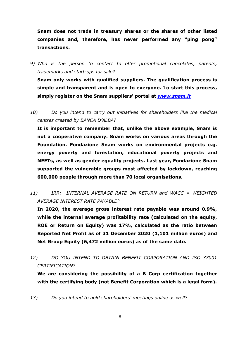**Snam does not trade in treasury shares or the shares of other listed companies and, therefore, has never performed any "ping pong" transactions.**

*9) Who is the person to contact to offer promotional chocolates, patents, trademarks and start-ups for sale?*

**Snam only works with qualified suppliers. The qualification process is simple and transparent and is open to everyone.** T**o start this process, simply register on the Snam suppliers' portal at** *[www.snam.it](https://www.snam.it/)*

*10) Do you intend to carry out initiatives for shareholders like the medical centres created by BANCA D'ALBA?*

**It is important to remember that, unlike the above example, Snam is not a cooperative company. Snam works on various areas through the Foundation. Fondazione Snam works on environmental projects e.g. energy poverty and forestation, educational poverty projects and NEETs, as well as gender equality projects. Last year, Fondazione Snam supported the vulnerable groups most affected by lockdown, reaching 600,000 people through more than 70 local organisations.**

*11) IRR: INTERNAL AVERAGE RATE ON RETURN and WACC = WEIGHTED AVERAGE INTEREST RATE PAYABLE?*

**In 2020, the average gross interest rate payable was around 0.9%, while the internal average profitability rate (calculated on the equity, ROE or Return on Equity) was 17%, calculated as the ratio between Reported Net Profit as of 31 December 2020 (1,101 million euros) and Net Group Equity (6,472 million euros) as of the same date.**

*12) DO YOU INTEND TO OBTAIN BENEFIT CORPORATION AND ISO 37001 CERTIFICATION?*

**We are considering the possibility of a B Corp certification together with the certifying body (not Benefit Corporation which is a legal form).**

*13) Do you intend to hold shareholders' meetings online as well?*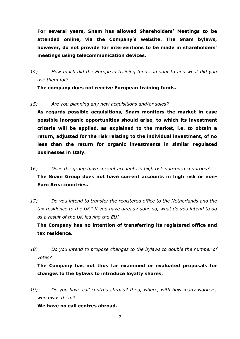**For several years, Snam has allowed Shareholders' Meetings to be attended online, via the Company's website. The Snam bylaws, however, do not provide for interventions to be made in shareholders' meetings using telecommunication devices.**

*14) How much did the European training funds amount to and what did you use them for?* 

**The company does not receive European training funds.**

*15) Are you planning any new acquisitions and/or sales?*

**As regards possible acquisitions, Snam monitors the market in case possible inorganic opportunities should arise, to which its investment criteria will be applied, as explained to the market, i.e. to obtain a return, adjusted for the risk relating to the individual investment, of no less than the return for organic investments in similar regulated businesses in Italy.**

- *16) Does the group have current accounts in high risk non-euro countries?* **The Snam Group does not have current accounts in high risk or non-Euro Area countries.**
- *17) Do you intend to transfer the registered office to the Netherlands and the tax residence to the UK? If you have already done so, what do you intend to do as a result of the UK leaving the EU?*

**The Company has no intention of transferring its registered office and tax residence.**

*18) Do you intend to propose changes to the bylaws to double the number of votes?*

**The Company has not thus far examined or evaluated proposals for changes to the bylaws to introduce loyalty shares.**

*19) Do you have call centres abroad? If so, where, with how many workers, who owns them?*

**We have no call centres abroad.**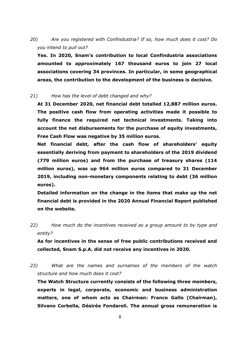*20) Are you registered with Confindustria? If so, how much does it cost? Do you intend to pull out?*

**Yes. In 2020, Snam's contribution to local Confindustria associations amounted to approximately 167 thousand euros to join 27 local associations covering 34 provinces. In particular, in some geographical areas, the contribution to the development of the business is decisive.**

#### *21) How has the level of debt changed and why?*

**At 31 December 2020, net financial debt totalled 12,887 million euros. The positive cash flow from operating activities made it possible to fully finance the required net technical investments. Taking into account the net disbursements for the purchase of equity investments, Free Cash Flow was negative by 35 million euros.** 

**Net financial debt, after the cash flow of shareholders' equity essentially deriving from payment to shareholders of the 2019 dividend (779 million euros) and from the purchase of treasury shares (114 million euros), was up 964 million euros compared to 31 December 2019, including non-monetary components relating to debt (36 million euros).**

**Detailed information on the change in the items that make up the net financial debt is provided in the 2020 Annual Financial Report published on the website.**

*22) How much do the incentives received as a group amount to by type and entity?*

**As for incentives in the sense of free public contributions received and collected, Snam S.p.A. did not receive any incentives in 2020.**

*23) What are the names and surnames of the members of the watch structure and how much does it cost?*

**The Watch Structure currently consists of the following three members, experts in legal, corporate, economic and business administration matters, one of whom acts as Chairman: Franco Gallo (Chairman), Silvano Corbella, Désirée Fondaroli. The annual gross remuneration is**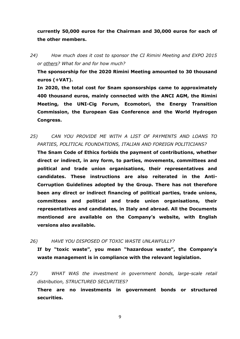**currently 50,000 euros for the Chairman and 30,000 euros for each of the other members.**

*24) How much does it cost to sponsor the CI Rimini Meeting and EXPO 2015 or others? What for and for how much?*

**The sponsorship for the 2020 Rimini Meeting amounted to 30 thousand euros (+VAT).** 

**In 2020, the total cost for Snam sponsorships came to approximately 400 thousand euros, mainly connected with the ANCI AGM, the Rimini Meeting, the UNI-Cig Forum, Ecomotori, the Energy Transition Commission, the European Gas Conference and the World Hydrogen Congress.**

*25) CAN YOU PROVIDE ME WITH A LIST OF PAYMENTS AND LOANS TO PARTIES, POLITICAL FOUNDATIONS, ITALIAN AND FOREIGN POLITICIANS?*

**The Snam Code of Ethics forbids the payment of contributions, whether direct or indirect, in any form, to parties, movements, committees and political and trade union organisations, their representatives and candidates. These instructions are also reiterated in the Anti-Corruption Guidelines adopted by the Group. There has not therefore been any direct or indirect financing of political parties, trade unions, committees and political and trade union organisations, their representatives and candidates, in Italy and abroad. All the Documents mentioned are available on the Company's website, with English versions also available.**

*26) HAVE YOU DISPOSED OF TOXIC WASTE UNLAWFULLY?*

**If by "toxic waste", you mean "hazardous waste", the Company's waste management is in compliance with the relevant legislation.**

*27) WHAT WAS the investment in government bonds, large-scale retail distribution, STRUCTURED SECURITIES?*

**There are no investments in government bonds or structured securities.**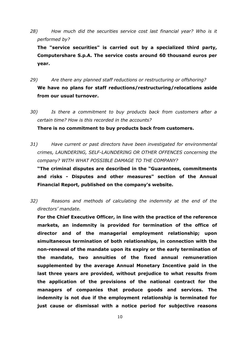*28) How much did the securities service cost last financial year? Who is it performed by?*

**The "service securities" is carried out by a specialized third party, Computershare S.p.A. The service costs around 60 thousand euros per year.**

- *29) Are there any planned staff reductions or restructuring or offshoring?* **We have no plans for staff reductions/restructuring/relocations aside from our usual turnover.**
- *30) Is there a commitment to buy products back from customers after a certain time? How is this recorded in the accounts?*

**There is no commitment to buy products back from customers.**

*31) Have current or past directors have been investigated for environmental crimes, LAUNDERING, SELF-LAUNDERING OR OTHER OFFENCES concerning the company? WITH WHAT POSSIBLE DAMAGE TO THE COMPANY?*

**"The criminal disputes are described in the "Guarantees, commitments and risks - Disputes and other measures" section of the Annual Financial Report, published on the company's website.**

*32) Reasons and methods of calculating the indemnity at the end of the directors' mandate.* 

**For the Chief Executive Officer, in line with the practice of the reference markets, an indemnity is provided for termination of the office of director and of the managerial employment relationship; upon simultaneous termination of both relationships, in connection with the non-renewal of the mandate upon its expiry or the early termination of the mandate, two annuities of the fixed annual remuneration supplemented by the average Annual Monetary Incentive paid in the last three years are provided, without prejudice to what results from the application of the provisions of the national contract for the managers of companies that produce goods and services. The indemnity is not due if the employment relationship is terminated for just cause or dismissal with a notice period for subjective reasons**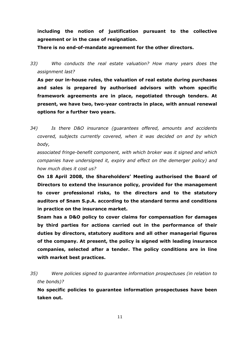**including the notion of justification pursuant to the collective agreement or in the case of resignation.** 

**There is no end-of-mandate agreement for the other directors.**

*33) Who conducts the real estate valuation? How many years does the assignment last?*

**As per our in-house rules, the valuation of real estate during purchases and sales is prepared by authorised advisors with whom specific framework agreements are in place, negotiated through tenders. At present, we have two, two-year contracts in place, with annual renewal options for a further two years.**

*34) Is there D&O insurance (guarantees offered, amounts and accidents covered, subjects currently covered, when it was decided on and by which body,*

*associated fringe-benefit component, with which broker was it signed and which companies have undersigned it, expiry and effect on the demerger policy) and how much does it cost us?*

**On 18 April 2008, the Shareholders' Meeting authorised the Board of Directors to extend the insurance policy, provided for the management to cover professional risks, to the directors and to the statutory auditors of Snam S.p.A. according to the standard terms and conditions in practice on the insurance market.**

**Snam has a D&O policy to cover claims for compensation for damages by third parties for actions carried out in the performance of their duties by directors, statutory auditors and all other managerial figures of the company. At present, the policy is signed with leading insurance companies, selected after a tender. The policy conditions are in line with market best practices.**

*35) Were policies signed to guarantee information prospectuses (in relation to the bonds)?* 

**No specific policies to guarantee information prospectuses have been taken out.**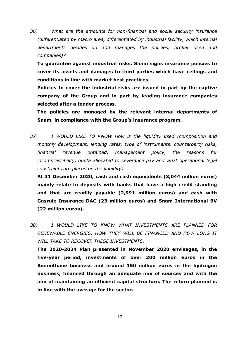*36) What are the amounts for non-financial and social security insurance (differentiated by macro area, differentiated by industrial facility, which internal departments decides on and manages the policies, broker used and companies)?*

**To guarantee against industrial risks, Snam signs insurance policies to cover its assets and damages to third parties which have ceilings and conditions in line with market best practices.**

**Policies to cover the industrial risks are issued in part by the captive company of the Group and in part by leading insurance companies selected after a tender process.** 

**The policies are managed by the relevant internal departments of Snam, in compliance with the Group's insurance program.**

*37) I WOULD LIKE TO KNOW How is the liquidity used (composition and monthly development, lending rates, type of instruments, counterparty risks, financial revenue obtained, management policy, the reasons for incompressibility, quota allocated to severance pay and what operational legal constraints are placed on the liquidity)*

**At 31 December 2020, cash and cash equivalents (3,044 million euros) mainly relate to deposits with banks that have a high credit standing and that are readily payable (2,991 million euros) and cash with Gasrule Insurance DAC (23 million euros) and Snam International BV (22 million euros).**

*38) I WOULD LIKE TO KNOW WHAT INVESTMENTS ARE PLANNED FOR RENEWABLE ENERGIES, HOW THEY WILL BE FINANCED AND HOW LONG IT WILL TAKE TO RECOVER THESE INVESTMENTS.*

**The 2020-2024 Plan presented in November 2020 envisages, in the five-year period, investments of over 200 million euros in the Biomethane business and around 150 million euros in the hydrogen business, financed through an adequate mix of sources and with the aim of maintaining an efficient capital structure. The return planned is in line with the average for the sector.**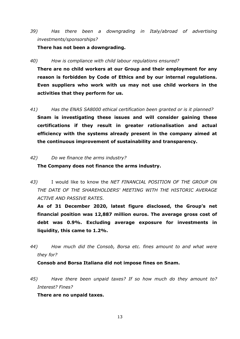*39) Has there been a downgrading in Italy/abroad of advertising investments/sponsorships?*

**There has not been a downgrading.**

*40) How is compliance with child labour regulations ensured?*

**There are no child workers at our Group and their employment for any reason is forbidden by Code of Ethics and by our internal regulations. Even suppliers who work with us may not use child workers in the activities that they perform for us.**

- *41) Has the ENAS SA8000 ethical certification been granted or is it planned?* **Snam is investigating these issues and will consider gaining these certifications if they result in greater rationalisation and actual efficiency with the systems already present in the company aimed at the continuous improvement of sustainability and transparency.**
- *42) Do we finance the arms industry?*

**The Company does not finance the arms industry.**

*43)* I would like to know the *NET FINANCIAL POSITION OF THE GROUP ON THE DATE OF THE SHAREHOLDERS' MEETING WITH THE HISTORIC AVERAGE ACTIVE AND PASSIVE RATES.*

As of 31 December 2020, latest figure disclosed, the Group's net **financial position was 12,887 million euros. The average gross cost of debt was 0.9%. Excluding average exposure for investments in liquidity, this came to 1.2%.**

*44) How much did the Consob, Borsa etc. fines amount to and what were they for?*

**Consob and Borsa Italiana did not impose fines on Snam.**

*45) Have there been unpaid taxes? If so how much do they amount to? Interest? Fines?*

**There are no unpaid taxes.**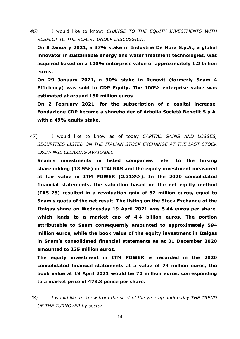*46)* I would like to know: *CHANGE TO THE EQUITY INVESTMENTS WITH RESPECT TO THE REPORT UNDER DISCUSSION.*

**On 8 January 2021, a 37% stake in Industrie De Nora S.p.A., a global innovator in sustainable energy and water treatment technologies, was acquired based on a 100% enterprise value of approximately 1.2 billion euros.**

**On 29 January 2021, a 30% stake in Renovit (formerly Snam 4 Efficiency) was sold to CDP Equity. The 100% enterprise value was estimated at around 150 million euros.**

**On 2 February 2021, for the subscription of a capital increase, Fondazione CDP became a shareholder of Arbolia Società Benefit S.p.A. with a 49% equity stake.**

47) I would like to know as of today *CAPITAL GAINS AND LOSSES, SECURITIES LISTED ON THE ITALIAN STOCK EXCHANGE AT THE LAST STOCK EXCHANGE CLEARING AVAILABLE*

**Snam's investments in listed companies refer to the linking shareholding (13.5%) in ITALGAS and the equity investment measured at fair value in ITM POWER (2.318%). In the 2020 consolidated financial statements, the valuation based on the net equity method (IAS 28) resulted in a revaluation gain of 52 million euros, equal to Snam's quota of the net result. The listing on the Stock Exchange of the Italgas share on Wednesday 19 April 2021 was 5.44 euros per share, which leads to a market cap of 4,4 billion euros. The portion attributable to Snam consequently amounted to approximately 594 million euros, while the book value of the equity investment in Italgas in Snam's consolidated financial statements as at 31 December 2020 amounted to 235 million euros.**

**The equity investment in ITM POWER is recorded in the 2020 consolidated financial statements at a value of 74 million euros, the book value at 19 April 2021 would be 70 million euros, corresponding to a market price of 473.8 pence per share.**

*48) I would like to know from the start of the year up until today THE TREND OF THE TURNOVER by sector.*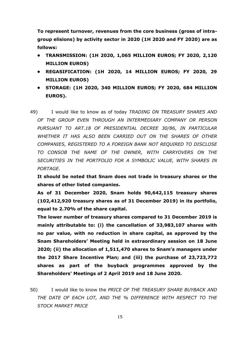**To represent turnover, revenues from the core business (gross of intragroup elisions) by activity sector in 2020 (1H 2020 and FY 2020) are as follows:** 

- **• TRANSMISSION: (1H 2020, 1,065 MILLION EUROS; FY 2020, 2,120 MILLION EUROS)**
- **• REGASIFICATION: (1H 2020, 14 MILLION EUROS; FY 2020, 29 MILLION EUROS)**
- **• STORAGE: (1H 2020, 340 MILLION EUROS; FY 2020, 684 MILLION EUROS).**

49) I would like to know as of today *TRADING ON TREASURY SHARES AND OF THE GROUP EVEN THROUGH AN INTERMEDIARY COMPANY OR PERSON PURSUANT TO ART.18 OF PRESIDENTIAL DECREE 30/86, IN PARTICULAR WHETHER IT HAS ALSO BEEN CARRIED OUT ON THE SHARES OF OTHER COMPANIES, REGISTERED TO A FOREIGN BANK NOT REQUIRED TO DISCLOSE TO CONSOB THE NAME OF THE OWNER, WITH CARRYOVERS ON THE SECURITIES IN THE PORTFOLIO FOR A SYMBOLIC VALUE, WITH SHARES IN PORTAGE.*

**It should be noted that Snam does not trade in treasury shares or the shares of other listed companies.**

**As of 31 December 2020, Snam holds 90,642,115 treasury shares (102,412,920 treasury shares as of 31 December 2019) in its portfolio, equal to 2.70% of the share capital.**

**The lower number of treasury shares compared to 31 December 2019 is mainly attributable to: (i) the cancellation of 33,983,107 shares with no par value, with no reduction in share capital, as approved by the Snam Shareholders' Meeting held in extraordinary session on 18 June 2020; (ii) the allocation of 1,511,470 shares to Snam's managers under the 2017 Share Incentive Plan; and (iii) the purchase of 23,723,772 shares as part of the buyback programmes approved by the Shareholders' Meetings of 2 April 2019 and 18 June 2020.**

50) I would like to know the *PRICE OF THE TREASURY SHARE BUYBACK AND THE DATE OF EACH LOT, AND THE % DIFFERENCE WITH RESPECT TO THE STOCK MARKET PRICE*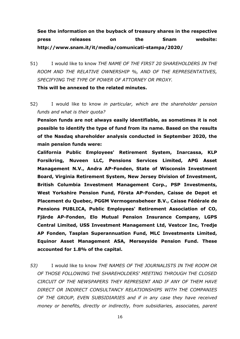## **See the information on the buyback of treasury shares in the respective press releases on the Snam website: http://www.snam.it/it/media/comunicati-stampa/2020/**

51) I would like to know *THE NAME OF THE FIRST 20 SHAREHOLDERS IN THE ROOM AND THE RELATIVE OWNERSHIP %, AND OF THE REPRESENTATIVES, SPECIFYING THE TYPE OF POWER OF ATTORNEY OR PROXY.*

**This will be annexed to the related minutes.**

52) I would like to know *in particular, which are the shareholder pension funds and what is their quota?*

**Pension funds are not always easily identifiable, as sometimes it is not possible to identify the type of fund from its name. Based on the results of the Nasdaq shareholder analysis conducted in September 2020, the main pension funds were:**

**California Public Employees' Retirement System, Inarcassa, KLP Forsikring, Nuveen LLC, Pensions Services Limited, APG Asset Management N.V., Andra AP-Fonden, State of Wisconsin Investment Board, Virginia Retirement System, New Jersey Division of Investment, British Columbia Investment Management Corp., PSP Investments, West Yorkshire Pension Fund, Första AP-Fonden, Caisse de Depot et Placement du Quebec, PGGM Vermogensbeheer B.V., Caisse Fédérale de Pensions PUBLICA, Public Employees' Retirement Association of CO, Fjärde AP-Fonden, Elo Mutual Pension Insurance Company, LGPS Central Limited, USS Investment Management Ltd, Vestcor Inc, Tredje AP Fonden, Tasplan Superannuation Fund, MLC Investments Limited, Equinor Asset Management ASA, Merseyside Pension Fund. These accounted for 1.8% of the capital.**

*53)* I would like to know *THE NAMES OF THE JOURNALISTS IN THE ROOM OR OF THOSE FOLLOWING THE SHAREHOLDERS' MEETING THROUGH THE CLOSED CIRCUIT OF THE NEWSPAPERS THEY REPRESENT AND IF ANY OF THEM HAVE DIRECT OR INDIRECT CONSULTANCY RELATIONSHIPS WITH THE COMPANIES OF THE GROUP, EVEN SUBSIDIARIES and if in any case they have received money or benefits, directly or indirectly, from subsidiaries, associates, parent*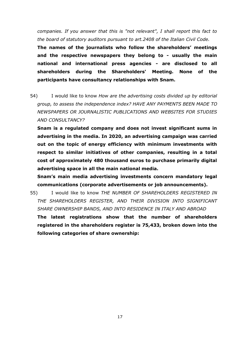*companies. If you answer that this is "not relevant", I shall report this fact to the board of statutory auditors pursuant to art.2408 of the Italian Civil Code.* 

**The names of the journalists who follow the shareholders' meetings and the respective newspapers they belong to - usually the main national and international press agencies - are disclosed to all shareholders during the Shareholders' Meeting. None of the participants have consultancy relationships with Snam.**

54) I would like to know *How are the advertising costs divided up by editorial group, to assess the independence index? HAVE ANY PAYMENTS BEEN MADE TO NEWSPAPERS OR JOURNALISTIC PUBLICATIONS AND WEBSITES FOR STUDIES AND CONSULTANCY?*

**Snam is a regulated company and does not invest significant sums in advertising in the media. In 2020, an advertising campaign was carried out on the topic of energy efficiency with minimum investments with respect to similar initiatives of other companies, resulting in a total cost of approximately 480 thousand euros to purchase primarily digital advertising space in all the main national media.** 

**Snam's main media advertising investments concern mandatory legal communications (corporate advertisements or job announcements).**

55) I would like to know *THE NUMBER OF SHAREHOLDERS REGISTERED IN THE SHAREHOLDERS REGISTER, AND THEIR DIVISION INTO SIGNIFICANT SHARE OWNERSHIP BANDS, AND INTO RESIDENCE IN ITALY AND ABROAD*

**The latest registrations show that the number of shareholders registered in the shareholders register is 75,433, broken down into the following categories of share ownership:**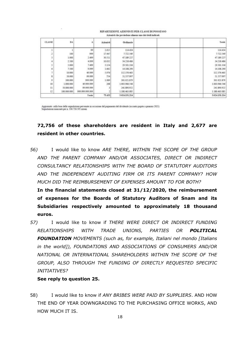| Tutale        | Ordinarie     | Azionisti | A               | DA          | CLASSE         |
|---------------|---------------|-----------|-----------------|-------------|----------------|
| 114.434       | 114.454       | 2.615     | 99              |             |                |
| 7.722.549     | 7.722.549     | 17,447    | 990             | 100         |                |
| 47.189.227    | 47.189.227    | 30.511    | 2.400           | 1.000       |                |
| 34.218.486    | 34 218 486    | 10.032    | 4.999           | 3.500       |                |
| 20.501.336    | 29.501.336    | 5.154     | 7.409           | 5,000       |                |
| 14.108.290    | 14.108.290    | 1.662     | 9.999           | 7.500       | ő              |
| 112.376.463   | 112.376.463   | 5.976     | 49.000          | 10.000      |                |
| 51, 557, 997  | 51,557,997    | 754       | 99.999          | 50.000      |                |
| 301.021.879   | 301.021.879   | 1.009     | 999.999         | 100.000     | $\overline{0}$ |
| 1 003 966 546 | 1003 066 546  | 268       | 40 000 000      | 1,000.000   | 10             |
| 241 890 922   | 241 890 922   |           | 00.000.000      | 50.000.000  | $\mathfrak{u}$ |
| 1.180.463.085 | 1.180.463.085 |           | 000 000 000 000 | 100.000.000 | 12             |
| 3.024.131.214 | 3.024.131.214 | 75.433    | Totale          |             |                |

#### **RIPARTIZIONE AZIONISTI PER CLASSI DI POSSESSO** Azionisti che postiedono almeno uno dei ritoli indicati.

Aggiornato sulla base delle segnalazioni pervenite in occasione del pagamento del dividendo (acconto pagato a gennaio 2021)<br>Segnalazioni suancanti per n 336 726 995 azioni

## **72,756 of these shareholders are resident in Italy and 2,677 are resident in other countries.**

*56)* I would like to know *ARE THERE, WITHIN THE SCOPE OF THE GROUP AND THE PARENT COMPANY AND/OR ASSOCIATES, DIRECT OR INDIRECT CONSULTANCY RELATIONSHIPS WITH THE BOARD OF STATUTORY AUDITORS AND THE INDEPENDENT AUDITING FIRM OR ITS PARENT COMPANY? HOW MUCH DID THE REIMBURSEMENT OF EXPENSES AMOUNT TO FOR BOTH?*

**In the financial statements closed at 31/12/2020, the reimbursement of expenses for the Boards of Statutory Auditors of Snam and its Subsidiaries respectively amounted to approximately 18 thousand euros.**

*57)* I would like to know if *THERE WERE DIRECT OR INDIRECT FUNDING RELATIONSHIPS WITH TRADE UNIONS, PARTIES OR POLITICAL FOUNDATION MOVEMENTS (such as, for example, Italiani nel mondo [Italians in the world]), FOUNDATIONS AND ASSOCIATIONS OF CONSUMERS AND/OR NATIONAL OR INTERNATIONAL SHAREHOLDERS WITHIN THE SCOPE OF THE GROUP, ALSO THROUGH THE FUNDING OF DIRECTLY REQUESTED SPECIFIC INITIATIVES?*

#### **See reply to question 25.**

58) I would like to know if *ANY BRIBES WERE PAID BY SUPPLIERS*. AND HOW THE END OF YEAR DOWNGRADING TO THE PURCHASING OFFICE WORKS, AND HOW MUCH IT IS.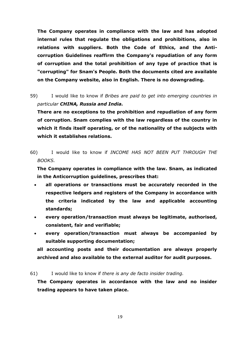**The Company operates in compliance with the law and has adopted internal rules that regulate the obligations and prohibitions, also in relations with suppliers. Both the Code of Ethics, and the Anticorruption Guidelines reaffirm the Company's repudiation of any form of corruption and the total prohibition of any type of practice that is "corrupting" for Snam's People. Both the documents cited are available on the Company website, also in English. There is no downgrading.**

59) I would like to know if *Bribes are paid to get into emerging countries in particular CHINA, Russia and India.*

**There are no exceptions to the prohibition and repudiation of any form of corruption. Snam complies with the law regardless of the country in which it finds itself operating, or of the nationality of the subjects with which it establishes relations.**

60) I would like to know if *INCOME HAS NOT BEEN PUT THROUGH THE BOOKS.*

**The Company operates in compliance with the law. Snam, as indicated in the Anticorruption guidelines, prescribes that:**

- **all operations or transactions must be accurately recorded in the respective ledgers and registers of the Company in accordance with the criteria indicated by the law and applicable accounting standards;**
- **every operation/transaction must always be legitimate, authorised, consistent, fair and verifiable;**
- **every operation/transaction must always be accompanied by suitable supporting documentation;**

**all accounting posts and their documentation are always properly archived and also available to the external auditor for audit purposes.** 

#### 61) I would like to know if *there is any de facto insider trading.*

**The Company operates in accordance with the law and no insider trading appears to have taken place.**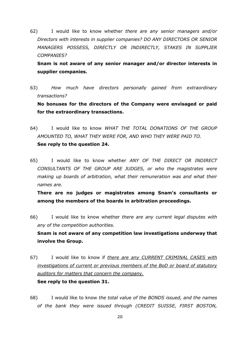62) I would like to know whether *there are any senior managers and/or Directors with interests in supplier companies? DO ANY DIRECTORS OR SENIOR MANAGERS POSSESS, DIRECTLY OR INDIRECTLY, STAKES IN SUPPLIER COMPANIES?*

**Snam is not aware of any senior manager and/or director interests in supplier companies.**

63) *How much have directors personally gained from extraordinary transactions?* 

**No bonuses for the directors of the Company were envisaged or paid for the extraordinary transactions.**

- 64) I would like to know *WHAT THE TOTAL DONATIONS OF THE GROUP AMOUNTED TO, WHAT THEY WERE FOR, AND WHO THEY WERE PAID TO.* **See reply to the question 24.**
- 65) I would like to know whether *ANY OF THE DIRECT OR INDIRECT CONSULTANTS OF THE GROUP ARE JUDGES, or who the magistrates were making up boards of arbitration, what their remuneration was and what their names are.*

**There are no judges or magistrates among Snam's consultants or among the members of the boards in arbitration proceedings.**

66) I would like to know whether *there are any current legal disputes with any of the competition authorities.*

**Snam is not aware of any competition law investigations underway that involve the Group.**

- 67) I would like to know if *there are any CURRENT CRIMINAL CASES with investigations of current or previous members of the BoD or board of statutory auditors for matters that concern the company.* **See reply to the question 31.**
- 68) I would like to know *the total value of the BONDS issued, and the names of the bank they were issued through (CREDIT SUISSE, FIRST BOSTON,*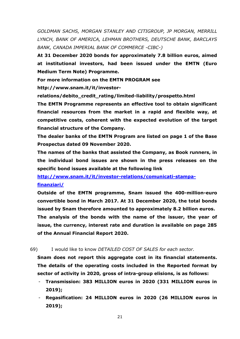*GOLDMAN SACHS, MORGAN STANLEY AND CITIGROUP, JP MORGAN, MERRILL LYNCH, BANK OF AMERICA, LEHMAN BROTHERS, DEUTSCHE BANK, BARCLAYS BANK, CANADA IMPERIAL BANK OF COMMERCE -CIBC-)*

**At 31 December 2020 bonds for approximately 7.8 billion euros, aimed at institutional investors, had been issued under the EMTN (Euro Medium Term Note) Programme.**

**For more information on the EMTN PROGRAM see** 

**http://www.snam.it/it/investor-**

**relations/debito\_credit\_rating/limited-liability/prospetto.html**

**The EMTN Programme represents an effective tool to obtain significant financial resources from the market in a rapid and flexible way, at competitive costs, coherent with the expected evolution of the target financial structure of the Company.** 

**The dealer banks of the EMTN Program are listed on page 1 of the Base Prospectus dated 09 November 2020.**

**The names of the banks that assisted the Company, as Book runners, in the individual bond issues are shown in the press releases on the specific bond issues available at the following link**

## **[http://www.snam.it/it/investor-relations/comunicati-stampa](http://www.snam.it/it/investor-relations/comunicati-stampa-finanziari/)[finanziari/](http://www.snam.it/it/investor-relations/comunicati-stampa-finanziari/)**

**Outside of the EMTN programme, Snam issued the 400-million-euro convertible bond in March 2017. At 31 December 2020, the total bonds issued by Snam therefore amounted to approximately 8.2 billion euros.**

**The analysis of the bonds with the name of the issuer, the year of issue, the currency, interest rate and duration is available on page 285 of the Annual Financial Report 2020.**

#### 69) I would like to know *DETAILED COST OF SALES for each sector.*

**Snam does not report this aggregate cost in its financial statements. The details of the operating costs included in the Reported format by sector of activity in 2020, gross of intra-group elisions, is as follows:**

- **Transmission: 383 MILLION euros in 2020 (331 MILLION euros in 2019);**
- **Regasification: 24 MILLION euros in 2020 (26 MILLION euros in 2019);**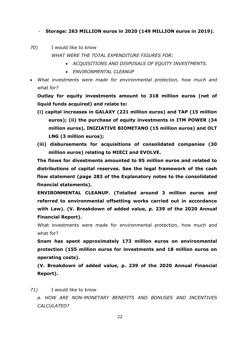### - **Storage: 263 MILLION euros in 2020 (149 MILLION euros in 2019).**

*70)* I would like to know

*WHAT WERE THE TOTAL EXPENDITURE FIGURES FOR:*

- *ACQUISITIONS AND DISPOSALS OF EQUITY INVESTMENTS.*
- *ENVIRONMENTAL CLEANUP*
- *What investments were made for environmental protection, how much and what for?*

**Outlay for equity investments amount to 318 million euros (net of liquid funds acquired) and relate to:**

- **(i) capital increases in GALAXY (221 million euros) and TAP (15 million euros); (ii) the purchase of equity investments in ITM POWER (34 million euros), INIZIATIVE BIOMETANO (15 million euros) and OLT LNG (3 million euros);**
- **(iii) disbursements for acquisitions of consolidated companies (30 million euros) relating to MIECI and EVOLVE.**

**The flows for divestments amounted to 95 million euros and related to distributions of capital reserves. See the legal framework of the cash flow statement (page 283 of the Explanatory notes to the consolidated financial statements).** 

**ENVIRONMENTAL CLEANUP. (Totalled around 3 million euros and referred to environmental offsetting works carried out in accordance with Law). (V. Breakdown of added value, p. 239 of the 2020 Annual Financial Report).**

What investments were made for environmental protection, how much and what for?

**Snam has spent approximately 173 million euros on environmental protection (155 million euros for investments and 18 million euros on operating costs).**

**(V. Breakdown of added value, p. 239 of the 2020 Annual Financial Report).**

*71)* I would like to know

*a. HOW ARE NON-MONETARY BENEFITS AND BONUSES AND INCENTIVES CALCULATED?*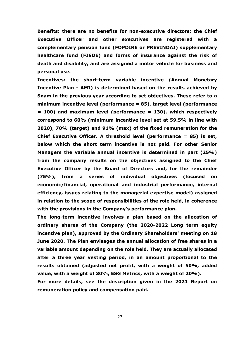**Benefits: there are no benefits for non-executive directors; the Chief Executive Officer and other executives are registered with a complementary pension fund (FOPDIRE or PREVINDAI) supplementary healthcare fund (FISDE) and forms of insurance against the risk of death and disability, and are assigned a motor vehicle for business and personal use.**

**Incentives: the short-term variable incentive (Annual Monetary Incentive Plan - AMI) is determined based on the results achieved by Snam in the previous year according to set objectives. These refer to a minimum incentive level (performance = 85), target level (performance = 100) and maximum level (performance = 130), which respectively correspond to 60% (minimum incentive level set at 59.5% in line with 2020), 70% (target) and 91% (max) of the fixed remuneration for the Chief Executive Officer. A threshold level (performance = 85) is set, below which the short term incentive is not paid. For other Senior Managers the variable annual incentive is determined in part (25%) from the company results on the objectives assigned to the Chief Executive Officer by the Board of Directors and, for the remainder (75%), from a series of individual objectives (focused on economic/financial, operational and industrial performance, internal efficiency, issues relating to the managerial expertise model) assigned in relation to the scope of responsibilities of the role held, in coherence with the provisions in the Company's performance plan.**

**The long-term incentive involves a plan based on the allocation of ordinary shares of the Company (the 2020-2022 Long term equity incentive plan), approved by the Ordinary Shareholders' meeting on 18 June 2020. The Plan envisages the annual allocation of free shares in a variable amount depending on the role held. They are actually allocated after a three year vesting period, in an amount proportional to the results obtained (adjusted net profit, with a weight of 50%, added value, with a weight of 30%, ESG Metrics, with a weight of 20%).**

**For more details, see the description given in the 2021 Report on remuneration policy and compensation paid.**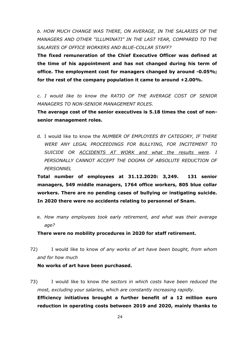*b. HOW MUCH CHANGE WAS THERE, ON AVERAGE, IN THE SALARIES OF THE MANAGERS AND OTHER "ILLUMINATI" IN THE LAST YEAR, COMPARED TO THE SALARIES OF OFFICE WORKERS AND BLUE-COLLAR STAFF?*

**The fixed remuneration of the Chief Executive Officer was defined at the time of his appointment and has not changed during his term of office. The employment cost for managers changed by around -0.05%; for the rest of the company population it came to around +2.00%.**

*c. I would like to know the RATIO OF THE AVERAGE COST OF SENIOR MANAGERS TO NON-SENIOR MANAGEMENT ROLES.*

**The average cost of the senior executives is 5.18 times the cost of nonsenior management roles.**

d. I would like to know the *NUMBER OF EMPLOYEES BY CATEGORY, IF THERE WERE ANY LEGAL PROCEEDINGS FOR BULLYING, FOR INCITEMENT TO SUICIDE OR ACCIDENTS AT WORK and what the results were. I PERSONALLY CANNOT ACCEPT THE DOGMA OF ABSOLUTE REDUCTION OF PERSONNEL*

**Total number of employees at 31.12.2020: 3,249. 131 senior managers, 549 middle managers, 1764 office workers, 805 blue collar workers. There are no pending cases of bullying or instigating suicide. In 2020 there were no accidents relating to personnel of Snam.**

e. *How many employees took early retirement, and what was their average age?*

**There were no mobility procedures in 2020 for staff retirement.**

72) I would like to know *of any works of art have been bought, from whom and for how much*

#### **No works of art have been purchased.**

73) I would like to know *the sectors in which costs have been reduced the most, excluding your salaries, which are constantly increasing rapidly.*

**Efficiency initiatives brought a further benefit of a 12 million euro reduction in operating costs between 2019 and 2020, mainly thanks to**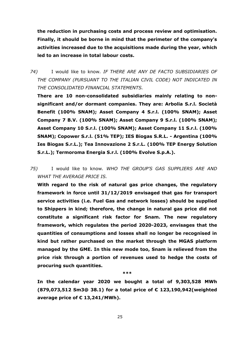**the reduction in purchasing costs and process review and optimisation. Finally, it should be borne in mind that the perimeter of the company's activities increased due to the acquisitions made during the year, which led to an increase in total labour costs.**

*74)* I would like to know*. IF THERE ARE ANY DE FACTO SUBSIDIARIES OF THE COMPANY (PURSUANT TO THE ITALIAN CIVIL CODE) NOT INDICATED IN THE CONSOLIDATED FINANCIAL STATEMENTS.*

**There are 10 non-consolidated subsidiaries mainly relating to nonsignificant and/or dormant companies. They are: Arbolia S.r.l. Società Benefit (100% SNAM); Asset Company 4 S.r.l. (100% SNAM); Asset Company 7 B.V. (100% SNAM); Asset Company 9 S.r.l. (100% SNAM); Asset Company 10 S.r.l. (100% SNAM); Asset Company 11 S.r.l. (100% SNAM); Copower S.r.l. (51% TEP); IES Biogas S.R.L. - Argentina (100% Ies Biogas S.r.L.); Tea Innovazione 2 S.r.L. (100% TEP Energy Solution S.r.L.); Termoroma Energia S.r.l. (100% Evolve S.p.A.).**

*75)* I would like to know*. WHO THE GROUP'S GAS SUPPLIERS ARE AND WHAT THE AVERAGE PRICE IS.*

**With regard to the risk of natural gas price changes, the regulatory framework in force until 31/12/2019 envisaged that gas for transport service activities (i.e. Fuel Gas and network losses) should be supplied to Shippers in kind; therefore, the change in natural gas price did not constitute a significant risk factor for Snam. The new regulatory framework, which regulates the period 2020-2023, envisages that the quantities of consumptions and losses shall no longer be recognised in kind but rather purchased on the market through the MGAS platform managed by the GME. In this new mode too, Snam is relieved from the price risk through a portion of revenues used to hedge the costs of procuring such quantities.**

**\*\*\***

**In the calendar year 2020 we bought a total of 9,303,528 MWh (879,073,512 Sm3@ 38.1) for a total price of € 123,190,942(weighted average price of € 13,241/MWh).**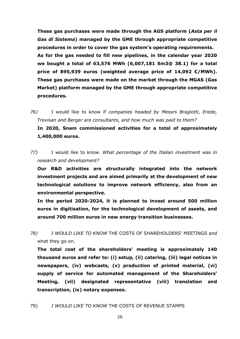**These gas purchases were made through the AGS platform (***Asta per il Gas di Sistema***) managed by the GME through appropriate competitive procedures in order to cover the gas system's operating requirements. As for the gas needed to fill new pipelines, in the calendar year 2020 we bought a total of 63,576 MWh (6,007,181 Sm3@ 38.1) for a total price of 895,939 euros (weighted average price of 14,092 €/MWh). These gas purchases were made on the market through the MGAS (Gas Market) platform managed by the GME through appropriate competitive procedures.**

- *76)* I would like to know if *companies headed by Messrs Bragiotti, Erede, Trevisan and Berger are consultants, and how much was paid to them?* **In 2020, Snam commissioned activities for a total of approximately 1,400,000 euros.**
- *77)* I would like to know*. What percentage of the Italian investment was in research and development?*

**Our R&D activities are structurally integrated into the network investment projects and are aimed primarily at the development of new technological solutions to improve network efficiency, also from an environmental perspective.**

**In the period 2020-2024, it is planned to invest around 500 million euros in digitisation, for the technological development of assets, and around 700 million euros in new energy transition businesses.**

*78) I WOULD LIKE TO KNOW* THE COSTS OF SHAREHOLDERS' MEETINGS and what they go on.

**The total cost of the shareholders' meeting is approximately 140 thousand euros and refer to: (i) setup, (ii) catering, (iii) legal notices in newspapers, (iv) webcasts, (v) production of printed material, (vi) supply of service for automated management of the Shareholders' Meeting, (vii) designated representative (viii) translation and transcription, (ix) notary expenses.**

79) *I WOULD LIKE TO KNOW* THE COSTS OF REVENUE STAMPS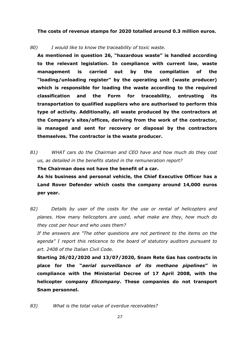**The costs of revenue stamps for 2020 totalled around 0.3 million euros.**

*80) I would like to know the traceability of toxic waste.*

**As mentioned in question 26, "hazardous waste" is handled according to the relevant legislation. In compliance with current law, waste management is carried out by the compilation of the "loading/unloading register" by the operating unit (waste producer) which is responsible for loading the waste according to the required classification and the Form for traceability, entrusting its transportation to qualified suppliers who are authorised to perform this type of activity. Additionally, all waste produced by the contractors at the Company's sites/offices, deriving from the work of the contractor, is managed and sent for recovery or disposal by the contractors themselves. The contractor is the waste producer.**

*81) WHAT cars do the Chairman and CEO have and how much do they cost us, as detailed in the benefits stated in the remuneration report?* 

**The Chairman does not have the benefit of a car.** 

**As his business and personal vehicle, the Chief Executive Officer has a Land Rover Defender which costs the company around 14,000 euros per year.**

*82) Details by user of the costs for the use or rental of helicopters and planes. How many helicopters are used, what make are they, how much do they cost per hour and who uses them?*

If the answers are "The other questions are not pertinent to the items on the *agenda" I report this reticence to the board of statutory auditors pursuant to art. 2408 of the Italian Civil Code.*

**Starting 26/02/2020 and 13/07/2020, Snam Rete Gas has contracts in place for the "***aerial surveillance of its methane pipelines***" in compliance with the Ministerial Decree of 17 April 2008, with the helicopter company** *Elicompany***. These companies do not transport Snam personnel.**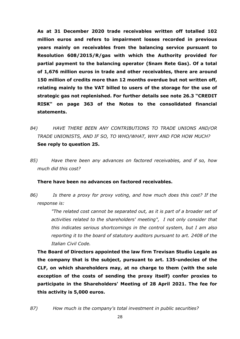**As at 31 December 2020 trade receivables written off totalled 102 million euros and refers to impairment losses recorded in previous years mainly on receivables from the balancing service pursuant to Resolution 608/2015/R/gas with which the Authority provided for partial payment to the balancing operator (Snam Rete Gas). Of a total of 1,676 million euros in trade and other receivables, there are around 150 million of credits more than 12 months overdue but not written off, relating mainly to the VAT billed to users of the storage for the use of strategic gas not replenished. For further details see note 26.3 "CREDIT RISK" on page 363 of the Notes to the consolidated financial statements.**

- *84) HAVE THERE BEEN ANY CONTRIBUTIONS TO TRADE UNIONS AND/OR TRADE UNIONISTS, AND IF SO, TO WHO/WHAT, WHY AND FOR HOW MUCH?* **See reply to question 25.**
- *85) Have there been any advances on factored receivables, and if so, how much did this cost?*

#### **There have been no advances on factored receivables.**

*86) Is there a proxy for proxy voting, and how much does this cost? If the response is:*

> *"The related cost cannot be separated out, as it is part of a broader set of activities related to the shareholders' meeting", I not only consider that this indicates serious shortcomings in the control system, but I am also reporting it to the board of statutory auditors pursuant to art. 2408 of the Italian Civil Code.*

**The Board of Directors appointed the law firm Trevisan Studio Legale as the company that is the subject, pursuant to art. 135-undecies of the CLF, on which shareholders may, at no charge to them (with the sole exception of the costs of sending the proxy itself) confer proxies to participate in the Shareholders' Meeting of 28 April 2021. The fee for this activity is 5,000 euros.**

*87) How much is the company's total investment in public securities?*